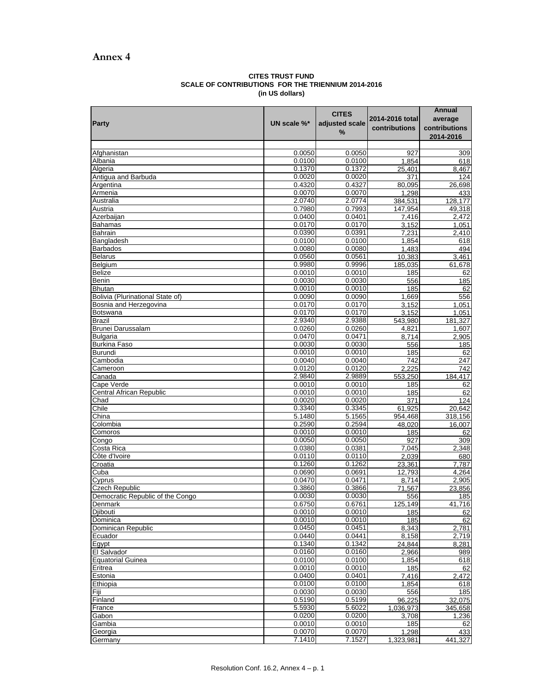## **Annex 4**

## **CITES TRUST FUND SCALE OF CONTRIBUTIONS FOR THE TRIENNIUM 2014-2016 (in US dollars)**

|                                  |                  | <b>CITES</b>     |                 | Annual        |
|----------------------------------|------------------|------------------|-----------------|---------------|
| <b>Party</b>                     | UN scale %*      | adjusted scale   | 2014-2016 total | average       |
|                                  |                  | %                | contributions   | contributions |
|                                  |                  |                  |                 | 2014-2016     |
|                                  |                  |                  |                 |               |
| Afghanistan                      | 0.0050           | 0.0050           | 927             | 309           |
| Albania                          | 0.0100           | 0.0100           | 1,854           | 618           |
| Algeria                          | 0.1370           | 0.1372           | 25,401          | 8,467         |
| Antigua and Barbuda<br>Argentina | 0.0020<br>0.4320 | 0.0020<br>0.4327 | 371             | 124           |
| Armenia                          | 0.0070           | 0.0070           | 80,095<br>1,298 | 26,698<br>433 |
| Australia                        | 2.0740           | 2.0774           | 384,531         | 128,177       |
| Austria                          | 0.7980           | 0.7993           | 147,954         | 49,318        |
| Azerbaijan                       | 0.0400           | 0.0401           | 7,416           | 2,472         |
| <b>Bahamas</b>                   | 0.0170           | 0.0170           | 3,152           | 1,051         |
| Bahrain                          | 0.0390           | 0.0391           | 7,231           | 2,410         |
| Bangladesh                       | 0.0100           | 0.0100           | 1,854           | 618           |
| <b>Barbados</b>                  | 0.0080           | 0.0080           | 1,483           | 494           |
| <b>Belarus</b>                   | 0.0560           | 0.0561           | 10,383          | 3,461         |
| Belgium                          | 0.9980           | 0.9996           | 185,035         | 61,678        |
| <b>Belize</b>                    | 0.0010           | 0.0010           | 185             | 62            |
| Benin                            | 0.0030           | 0.0030           | 556             | 185           |
| <b>Bhutan</b>                    | 0.0010           | 0.0010           | 185             | 62            |
| Bolivia (Plurinational State of) | 0.0090           | 0.0090           | 1,669           | 556           |
| Bosnia and Herzegovina           | 0.0170           | 0.0170           | 3,152           | 1,051         |
| Botswana                         | 0.0170           | 0.0170           | 3,152           | 1,051         |
| <b>Brazil</b>                    | 2.9340           | 2.9388           | 543,980         | 181.327       |
| <b>Brunei Darussalam</b>         | 0.0260           | 0.0260           | 4,821           | 1,607         |
| <b>Bulgaria</b>                  | 0.0470           | 0.0471           | 8,714           | 2,905         |
| <b>Burkina Faso</b>              | 0.0030           | 0.0030           | 556             | 185           |
| Burundi                          | 0.0010           | 0.0010           | 185             | 62            |
| Cambodia                         | 0.0040           | 0.0040           | 742             | 247           |
| Cameroon                         | 0.0120           | 0.0120           | 2,225           | 742           |
| Canada                           | 2.9840           | 2.9889           | 553,250         | 184,417       |
| Cape Verde                       | 0.0010           | 0.0010           | 185             | 62            |
| <b>Central African Republic</b>  | 0.0010<br>0.0020 | 0.0010<br>0.0020 | 185<br>371      | 62<br>124     |
| Chad<br>Chile                    | 0.3340           | 0.3345           | 61,925          | 20,642        |
| China                            | 5.1480           | 5.1565           | 954,468         | 318,156       |
| Colombia                         | 0.2590           | 0.2594           | 48,020          | 16.007        |
| Comoros                          | 0.0010           | 0.0010           | 185             | 62            |
| Congo                            | 0.0050           | 0.0050           | 927             | 309           |
| Costa Rica                       | 0.0380           | 0.0381           | 7,045           | 2,348         |
| Côte d'Ivoire                    | 0.0110           | 0.0110           | 2,039           | 680           |
| Croatia                          | 0.1260           | 0.1262           | 23,361          | 7,787         |
| Cuba                             | 0.0690           | 0.0691           | 12,793          | 4,264         |
| Cyprus                           | 0.0470           | 0.0471           | 8,714           | 2,905         |
| <b>Czech Republic</b>            | 0.3860           | 0.3866           | 71,567          | 23.856        |
| Democratic Republic of the Congo | 0.0030           | 0.0030           | 556             | 185           |
| Denmark                          | 0.6750           | 0.6761           | 125,149         | 41,716        |
| Djibouti                         | 0.0010           | 0.0010           | 185             | 62            |
| Dominica                         | 0.0010           | 0.0010           | 185             | 62            |
| Dominican Republic               | 0.0450           | 0.0451           | 8,343           | 2,781         |
| Ecuador                          | 0.0440           | 0.0441           | 8,158           | 2,719         |
| Egypt                            | 0.1340           | 0.1342           | 24,844          | 8,281         |
| El Salvador                      | 0.0160           | 0.0160           | 2,966           | 989           |
| Equatorial Guinea<br>Eritrea     | 0.0100<br>0.0010 | 0.0100<br>0.0010 | 1,854           | 618           |
| Estonia                          | 0.0400           | 0.0401           | 185<br>7,416    | 62<br>2,472   |
| Ethiopia                         | 0.0100           | 0.0100           | 1,854           | 618           |
| <b>Fiji</b>                      | 0.0030           | 0.0030           | 556             | 185           |
| Finland                          | 0.5190           | 0.5199           | 96,225          | 32,075        |
| France                           | 5.5930           | 5.6022           | 1,036,973       | 345,658       |
| Gabon                            | 0.0200           | 0.0200           | 3,708           | 1,236         |
| Gambia                           | 0.0010           | 0.0010           | 185             | 62            |
| Georgia                          | 0.0070           | 0.0070           | 1,298           | 433           |
| Germany                          | 7.1410           | 7.1527           | 1,323,981       | 441,327       |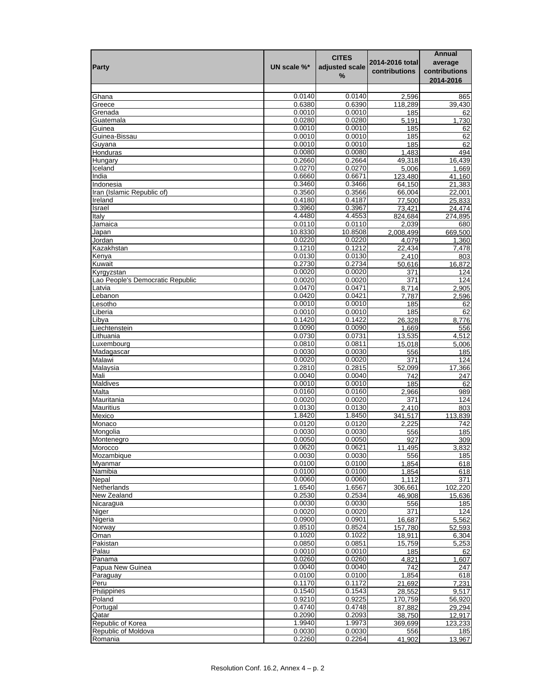|                                  |             |                |                 | Annual        |
|----------------------------------|-------------|----------------|-----------------|---------------|
|                                  |             | <b>CITES</b>   | 2014-2016 total | average       |
| <b>Party</b>                     | UN scale %* | adjusted scale | contributions   | contributions |
|                                  |             | %              |                 | 2014-2016     |
|                                  |             |                |                 |               |
| Ghana                            | 0.0140      | 0.0140         | 2,596           | 865           |
| Greece                           | 0.6380      | 0.6390         | 118,289         | 39,430        |
|                                  | 0.0010      | 0.0010         |                 |               |
| Grenada                          |             |                | 185             | 62            |
| Guatemala                        | 0.0280      | 0.0280         | 5,191           | 1,730         |
| Guinea                           | 0.0010      | 0.0010         | 185             | 62            |
| Guinea-Bissau                    | 0.0010      | 0.0010         | 185             | 62            |
| Guyana                           | 0.0010      | 0.0010         | 185             | 62            |
| Honduras                         | 0.0080      | 0.0080         | 1,483           | 494           |
| Hungary                          | 0.2660      | 0.2664         | 49,318          | 16,439        |
| Iceland                          | 0.0270      | 0.0270         | 5,006           | 1,669         |
| India                            | 0.6660      | 0.6671         | 123,480         | 41,160        |
| Indonesia                        | 0.3460      | 0.3466         | 64,150          | 21,383        |
| Iran (Islamic Republic of)       | 0.3560      | 0.3566         | 66,004          | 22,001        |
| Ireland                          | 0.4180      | 0.4187         | 77,500          | 25,833        |
| Israel                           | 0.3960      | 0.3967         | 73,421          | 24,474        |
| Italy                            | 4.4480      | 4.4553         | 824,684         | 274,895       |
| Jamaica                          | 0.0110      | 0.0110         | 2,039           | 680           |
| Japan                            | 10.8330     | 10.8508        | 2,008,499       | 669,500       |
| Jordan                           | 0.0220      | 0.0220         | 4.079           | 1,360         |
| Kazakhstan                       | 0.1210      | 0.1212         | 22,434          | 7,478         |
| Kenya                            | 0.0130      | 0.0130         | 2,410           | 803           |
| Kuwait                           | 0.2730      | 0.2734         | 50,616          | 16,872        |
| Kyrgyzstan                       | 0.0020      | 0.0020         | 371             | 124           |
| Lao People's Democratic Republic | 0.0020      | 0.0020         | 371             | 124           |
| Latvia                           | 0.0470      | 0.0471         | 8,714           | 2,905         |
| Lebanon                          | 0.0420      | 0.0421         | 7,787           | 2,596         |
|                                  | 0.0010      | 0.0010         |                 |               |
| Lesotho                          |             |                | 185             | 62            |
| Liberia                          | 0.0010      | 0.0010         | 185             | 62            |
| Libya                            | 0.1420      | 0.1422         | 26,328          | 8,776         |
| Liechtenstein                    | 0.0090      | 0.0090         | 1,669           | 556           |
| Lithuania                        | 0.0730      | 0.0731         | 13,535          | 4,512         |
| Luxembourg                       | 0.0810      | 0.0811         | 15,018          | 5,006         |
| Madagascar                       | 0.0030      | 0.0030         | 556             | 185           |
| Malawi                           | 0.0020      | 0.0020         | 371             | 124           |
| Malaysia                         | 0.2810      | 0.2815         | 52,099          | 17,366        |
| Mali                             | 0.0040      | 0.0040         | 742             | 247           |
| <b>Maldives</b>                  | 0.0010      | 0.0010         | 185             | 62            |
| Malta                            | 0.0160      | 0.0160         | 2,966           | 989           |
| Mauritania                       | 0.0020      | 0.0020         | 371             | 124           |
| <b>Mauritius</b>                 | 0.0130      | 0.0130         | 2,410           | 803           |
| Mexico                           | 1.8420      | 1.8450         | 341,517         | 113,839       |
| Monaco                           | 0.0120      | 0.0120         | 2,225           | 742           |
| Mongolia                         | 0.0030      | 0.0030         | 556             | 185           |
| Montenegro                       | 0.0050      | 0.0050         | 927             | 309           |
| Morocco                          | 0.0620      | 0.0621         | 11,495          | 3,832         |
| Mozambique                       | 0.0030      | 0.0030         | 556             | 185           |
| Myanmar                          | 0.0100      | 0.0100         | 1,854           | 618           |
| Namibia                          | 0.0100      | 0.0100         | 1,854           | 618           |
| Nepal                            |             |                |                 |               |
|                                  | 0.0060      | 0.0060         | 1,112           | 371           |
| Netherlands                      | 1.6540      | 1.6567         | 306,661         | 102,220       |
| New Zealand                      | 0.2530      | 0.2534         | 46,908          | 15,636        |
| Nicaragua                        | 0.0030      | 0.0030         | 556             | 185           |
| Niger                            | 0.0020      | 0.0020         | 371             | 124           |
| Nigeria                          | 0.0900      | 0.0901         | 16,687          | 5,562         |
| Norway                           | 0.8510      | 0.8524         | 157,780         | 52,593        |
| Oman                             | 0.1020      | 0.1022         | 18,911          | 6,304         |
| Pakistan                         | 0.0850      | 0.0851         | 15,759          | 5,253         |
| Palau                            | 0.0010      | 0.0010         | 185             | 62            |
| Panama                           | 0.0260      | 0.0260         | 4,821           | 1,607         |
| Papua New Guinea                 | 0.0040      | 0.0040         | 742             | 247           |
| Paraguay                         | 0.0100      | 0.0100         | 1,854           | 618           |
| Peru                             | 0.1170      | 0.1172         | 21,692          | 7,231         |
| Philippines                      | 0.1540      | 0.1543         | 28,552          | 9,517         |
| Poland                           | 0.9210      | 0.9225         | 170,759         | 56,920        |
| Portugal                         | 0.4740      | 0.4748         | 87,882          | 29,294        |
| Qatar                            | 0.2090      | 0.2093         | 38,750          | 12,917        |
| Republic of Korea                | 1.9940      | 1.9973         | 369,699         | 123,233       |
| Republic of Moldova              | 0.0030      | 0.0030         | 556             | 185           |
| Romania                          | 0.2260      | 0.2264         | 41,902          | 13,967        |
|                                  |             |                |                 |               |